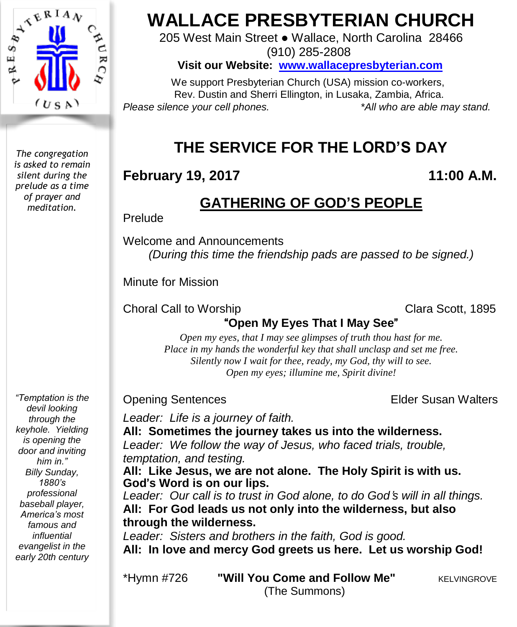

*The congregation is asked to remain silent during the prelude as a time of prayer and meditation.*

# **WALLACE PRESBYTERIAN CHURCH**

205 West Main Street ● Wallace, North Carolina 28466 (910) 285-2808

**Visit our Website: [www.wallacepresbyterian.com](http://www.wallacepresbyterian.com/)**

 We support Presbyterian Church (USA) mission co-workers, Rev. Dustin and Sherri Ellington, in Lusaka, Zambia, Africa. *Please silence your cell phones. \*All who are able may stand.*

# **THE SERVICE FOR THE LORD'S DAY**

## **February 19, 2017 11:00 A.M.**

## **GATHERING OF GOD'S PEOPLE**

Prelude

Welcome and Announcements *(During this time the friendship pads are passed to be signed.)*

Minute for Mission

Choral Call to Worship Chara Scott, 1895

# "**Open My Eyes That I May See**"

*Open my eyes, that I may see glimpses of truth thou hast for me. Place in my hands the wonderful key that shall unclasp and set me free. Silently now I wait for thee, ready, my God, thy will to see. Open my eyes; illumine me, Spirit divine!*

**Opening Sentences Elder Susan Walters** 

*Leader: Life is a journey of faith.*

**All: Sometimes the journey takes us into the wilderness.** *Leader: We follow the way of Jesus, who faced trials, trouble, temptation, and testing.* **All: Like Jesus, we are not alone. The Holy Spirit is with us. God**'**s Word is on our lips.**

*Leader: Our call is to trust in God alone, to do God*'*s will in all things.* **All: For God leads us not only into the wilderness, but also through the wilderness.**

*Leader: Sisters and brothers in the faith, God is good.* **All: In love and mercy God greets us here. Let us worship God!**

\*Hymn #726 **"Will You Come and Follow Me"** KELVINGROVE (The Summons)

*"Temptation is the devil looking through the keyhole. Yielding is opening the door and inviting him in." Billy Sunday, 1880's professional baseball player, America's most famous and influential evangelist in the early 20th century*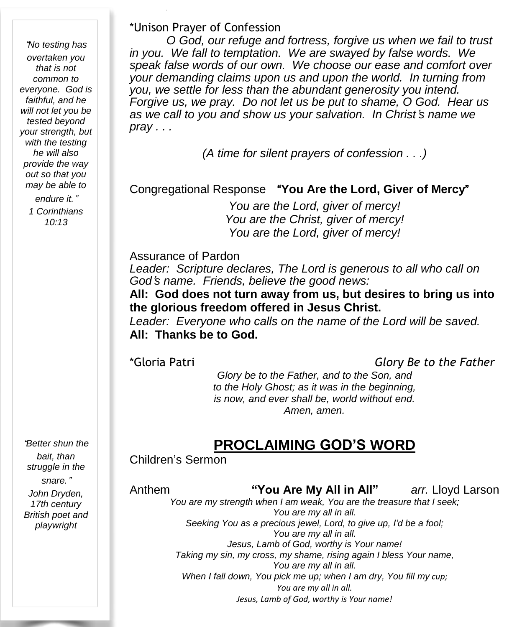"*No testing has overtaken you that is not common to everyone. God is faithful, and he will not let you be tested beyond your strength, but with the testing he will also provide the way out so that you may be able to endure it.*" *1 Corinthians 10:13*

#### \*Unison Prayer of Confession

*O God, our refuge and fortress, forgive us when we fail to trust in you. We fall to temptation. We are swayed by false words. We speak false words of our own. We choose our ease and comfort over your demanding claims upon us and upon the world. In turning from you, we settle for less than the abundant generosity you intend. Forgive us, we pray. Do not let us be put to shame, O God. Hear us as we call to you and show us your salvation. In Christ*'*s name we pray . . .*

*(A time for silent prayers of confession . . .)*

#### Congregational Response "**You Are the Lord, Giver of Mercy**"

*You are the Lord, giver of mercy! You are the Christ, giver of mercy! You are the Lord, giver of mercy!*

Assurance of Pardon

*Leader: Scripture declares, The Lord is generous to all who call on God*'*s name. Friends, believe the good news:*

**All: God does not turn away from us, but desires to bring us into the glorious freedom offered in Jesus Christ.**

*Leader: Everyone who calls on the name of the Lord will be saved.* **All: Thanks be to God.**

\*Gloria Patri *Glory Be to the Father*

*Glory be to the Father, and to the Son, and to the Holy Ghost; as it was in the beginning, is now, and ever shall be, world without end. Amen, amen.*

#### **PROCLAIMING GOD'S WORD**

Children's Sermon

Anthem**"You Are My All in All"** *arr.* Lloyd Larson

*You are my strength when I am weak, You are the treasure that I seek; You are my all in all. Seeking You as a precious jewel, Lord, to give up, I'd be a fool; You are my all in all. Jesus, Lamb of God, worthy is Your name! Taking my sin, my cross, my shame, rising again I bless Your name, You are my all in all. When I fall down, You pick me up; when I am dry, You fill my cup; You are my all in all. Jesus, Lamb of God, worthy is Your name!*

*bait, than struggle in the snare.*" *John Dryden, 17th century British poet and playwright*

"*Better shun the*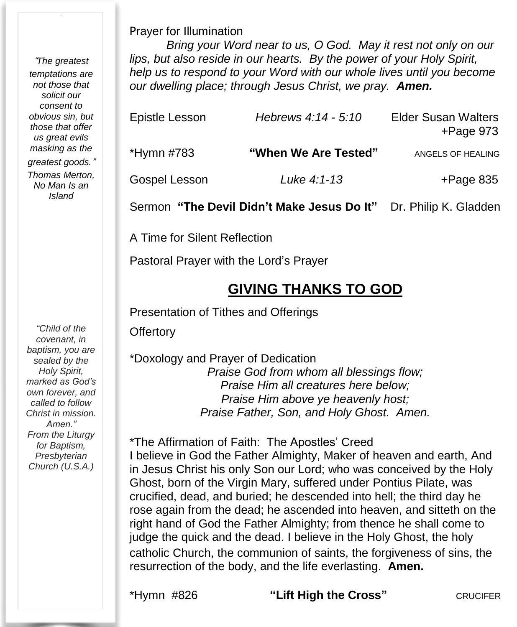"*The greatest temptations are not those that solicit our consent to obvious sin, but those that offer us great evils masking as the greatest goods.*" *Thomas Merton, No Man Is an Island*

*"Child of the covenant, in baptism, you are sealed by the Holy Spirit, marked as God's own forever, and called to follow Christ in mission. Amen." From the Liturgy for Baptism, Presbyterian Church (U.S.A.)*

#### Prayer for Illumination

*Bring your Word near to us, O God. May it rest not only on our lips, but also reside in our hearts. By the power of your Holy Spirit, help us to respond to your Word with our whole lives until you become our dwelling place; through Jesus Christ, we pray. Amen.*

| Epistle Lesson | Hebrews 4:14 - 5:10  | <b>Elder Susan Walters</b><br>$+$ Page 973 |
|----------------|----------------------|--------------------------------------------|
| *Hymn #783     | "When We Are Tested" | ANGELS OF HEALING                          |
| Gospel Lesson  | Luke 4:1-13          | $+$ Page 835                               |

Sermon **"The Devil Didn't Make Jesus Do It"** Dr. Philip K. Gladden

A Time for Silent Reflection

Pastoral Prayer with the Lord's Prayer

#### **GIVING THANKS TO GOD**

Presentation of Tithes and Offerings

**Offertory** 

\*Doxology and Prayer of Dedication *Praise God from whom all blessings flow; Praise Him all creatures here below; Praise Him above ye heavenly host; Praise Father, Son, and Holy Ghost. Amen.*

\*The Affirmation of Faith: The Apostles' Creed I believe in God the Father Almighty, Maker of heaven and earth, And in Jesus Christ his only Son our Lord; who was conceived by the Holy Ghost, born of the Virgin Mary, suffered under Pontius Pilate, was crucified, dead, and buried; he descended into hell; the third day he rose again from the dead; he ascended into heaven, and sitteth on the right hand of God the Father Almighty; from thence he shall come to judge the quick and the dead. I believe in the Holy Ghost, the holy catholic Church, the communion of saints, the forgiveness of sins, the resurrection of the body, and the life everlasting. **Amen.**

\*Hymn #826 **"Lift High the Cross"** CRUCIFER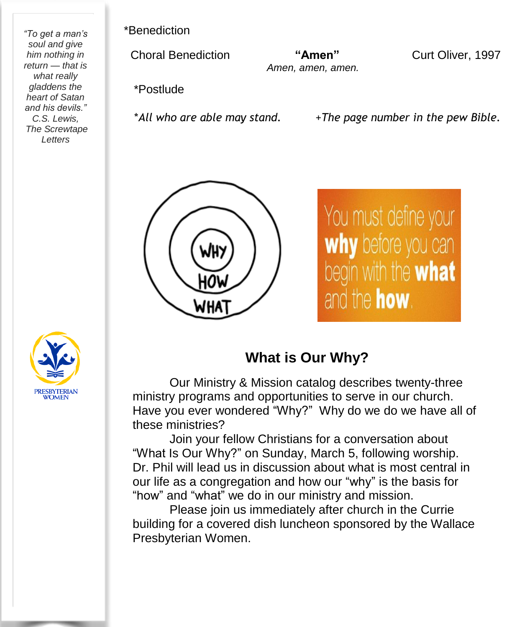*"To get a man's soul and give him nothing in return — that is what really gladdens the heart of Satan and his devils." C.S. Lewis, The Screwtape Letters*

\*Benediction

Choral Benediction **"Amen"** Curt Oliver, 1997

*Amen, amen, amen.*

\*Postlude

\**All who are able may stand.* +*The page number in the pew Bible.*



You must define your why before you can begin with the **what** and the **how**.

#### **What is Our Why?**

Our Ministry & Mission catalog describes twenty-three ministry programs and opportunities to serve in our church. Have you ever wondered "Why?" Why do we do we have all of these ministries?

Join your fellow Christians for a conversation about "What Is Our Why?" on Sunday, March 5, following worship. Dr. Phil will lead us in discussion about what is most central in our life as a congregation and how our "why" is the basis for "how" and "what" we do in our ministry and mission.

Please join us immediately after church in the Currie building for a covered dish luncheon sponsored by the Wallace Presbyterian Women.

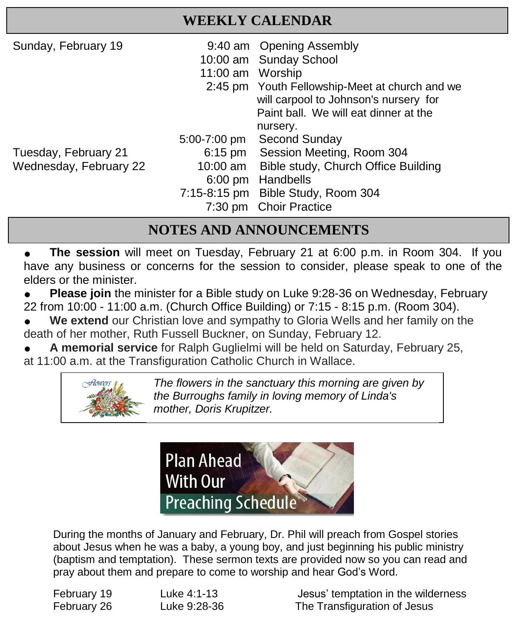#### **WEEKLY CALENDAR**

| Sunday, February 19                            | 11:00 am Worship           | 9:40 am Opening Assembly<br>10:00 am Sunday School<br>2:45 pm Youth Fellowship-Meet at church and we<br>will carpool to Johnson's nursery for<br>Paint ball. We will eat dinner at the     |
|------------------------------------------------|----------------------------|--------------------------------------------------------------------------------------------------------------------------------------------------------------------------------------------|
| Tuesday, February 21<br>Wednesday, February 22 | $5:00-7:00$ pm<br>10:00 am | nursery.<br>Second Sunday<br>6:15 pm Session Meeting, Room 304<br>Bible study, Church Office Building<br>6:00 pm Handbells<br>7:15-8:15 pm Bible Study, Room 304<br>7:30 pm Choir Practice |

#### **NOTES AND ANNOUNCEMENTS**

 **e** The session will meet on Tuesday, February 21 at 6:00 p.m. in Room 304. If you have any business or concerns for the session to consider, please speak to one of the elders or the minister.

**Please join** the minister for a Bible study on Luke 9:28-36 on Wednesday, February 22 from 10:00 - 11:00 a.m. (Church Office Building) or 7:15 - 8:15 p.m. (Room 304).

**We extend** our Christian love and sympathy to Gloria Wells and her family on the death of her mother, Ruth Fussell Buckner, on Sunday, February 12.

● **A memorial service** for Ralph Guglielmi will be held on Saturday, February 25, at 11:00 a.m. at the Transfiguration Catholic Church in Wallace.



*The flowers in the sanctuary this morning are given by the Burroughs family in loving memory of Linda's mother, Doris Krupitzer.*



During the months of January and February, Dr. Phil will preach from Gospel stories about Jesus when he was a baby, a young boy, and just beginning his public ministry (baptism and temptation). These sermon texts are provided now so you can read and pray about them and prepare to come to worship and hear God's Word.

February 19 Luke 4:1-13 Jesus' temptation in the wilderness February 26 Luke 9:28-36 The Transfiguration of Jesus